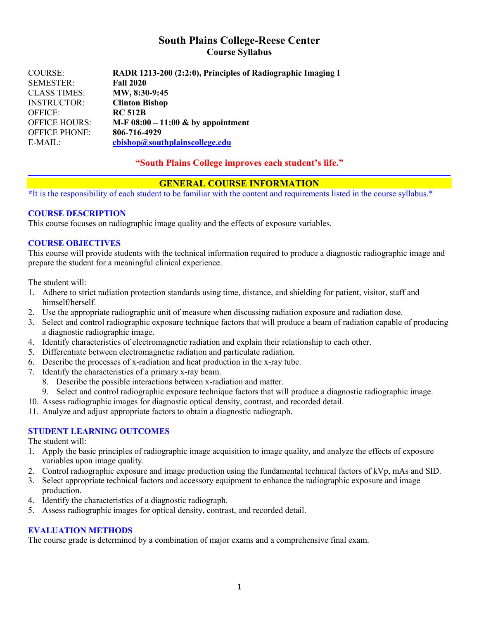# **South Plains College-Reese Center Course Syllabus**

| <b>COURSE:</b>       | RADR 1213-200 (2:2:0), Principles of Radiographic Imaging I |
|----------------------|-------------------------------------------------------------|
| <b>SEMESTER:</b>     | <b>Fall 2020</b>                                            |
| <b>CLASS TIMES:</b>  | MW, 8:30-9:45                                               |
| <b>INSTRUCTOR:</b>   | <b>Clinton Bishop</b>                                       |
| <b>OFFICE:</b>       | <b>RC 512B</b>                                              |
| <b>OFFICE HOURS:</b> | M-F $08:00 - 11:00 \&$ by appointment                       |
| <b>OFFICE PHONE:</b> | 806-716-4929                                                |
| $E-MAIL:$            | cbishop@southplainscollege.edu                              |

# **"South Plains College improves each student's life."**

### **GENERAL COURSE INFORMATION**

**\***It is the responsibility of each student to be familiar with the content and requirements listed in the course syllabus.\*

### **COURSE DESCRIPTION**

This course focuses on radiographic image quality and the effects of exposure variables.

### **COURSE OBJECTIVES**

This course will provide students with the technical information required to produce a diagnostic radiographic image and prepare the student for a meaningful clinical experience.

The student will:

- 1. Adhere to strict radiation protection standards using time, distance, and shielding for patient, visitor, staff and himself/herself.
- 2. Use the appropriate radiographic unit of measure when discussing radiation exposure and radiation dose.
- 3. Select and control radiographic exposure technique factors that will produce a beam of radiation capable of producing a diagnostic radiographic image.
- 4. Identify characteristics of electromagnetic radiation and explain their relationship to each other.
- 5. Differentiate between electromagnetic radiation and particulate radiation.
- 6. Describe the processes of x-radiation and heat production in the x-ray tube.
- 7. Identify the characteristics of a primary x-ray beam.
	- 8. Describe the possible interactions between x-radiation and matter.
	- 9. Select and control radiographic exposure technique factors that will produce a diagnostic radiographic image.
- 10. Assess radiographic images for diagnostic optical density, contrast, and recorded detail.
- 11. Analyze and adjust appropriate factors to obtain a diagnostic radiograph.

### **STUDENT LEARNING OUTCOMES**

The student will:

- 1. Apply the basic principles of radiographic image acquisition to image quality, and analyze the effects of exposure variables upon image quality.
- 2. Control radiographic exposure and image production using the fundamental technical factors of kVp, mAs and SID.
- 3. Select appropriate technical factors and accessory equipment to enhance the radiographic exposure and image production.
- 4. Identify the characteristics of a diagnostic radiograph.
- 5. Assess radiographic images for optical density, contrast, and recorded detail.

### **EVALUATION METHODS**

The course grade is determined by a combination of major exams and a comprehensive final exam.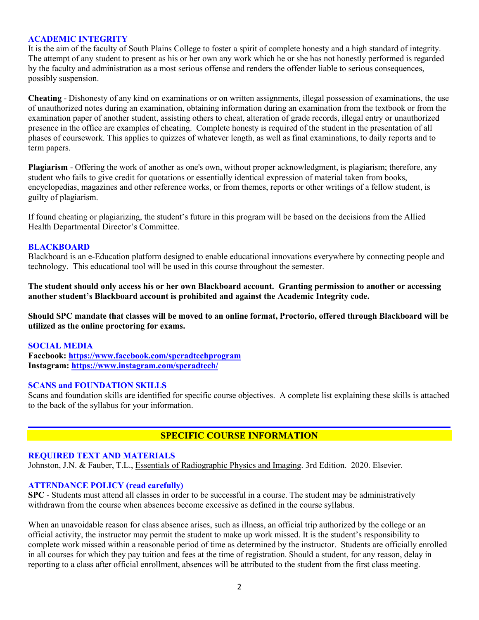### **ACADEMIC INTEGRITY**

It is the aim of the faculty of South Plains College to foster a spirit of complete honesty and a high standard of integrity. The attempt of any student to present as his or her own any work which he or she has not honestly performed is regarded by the faculty and administration as a most serious offense and renders the offender liable to serious consequences, possibly suspension.

**Cheating** - Dishonesty of any kind on examinations or on written assignments, illegal possession of examinations, the use of unauthorized notes during an examination, obtaining information during an examination from the textbook or from the examination paper of another student, assisting others to cheat, alteration of grade records, illegal entry or unauthorized presence in the office are examples of cheating. Complete honesty is required of the student in the presentation of all phases of coursework. This applies to quizzes of whatever length, as well as final examinations, to daily reports and to term papers.

**Plagiarism** - Offering the work of another as one's own, without proper acknowledgment, is plagiarism; therefore, any student who fails to give credit for quotations or essentially identical expression of material taken from books, encyclopedias, magazines and other reference works, or from themes, reports or other writings of a fellow student, is guilty of plagiarism.

If found cheating or plagiarizing, the student's future in this program will be based on the decisions from the Allied Health Departmental Director's Committee.

#### **BLACKBOARD**

Blackboard is an e-Education platform designed to enable educational innovations everywhere by connecting people and technology. This educational tool will be used in this course throughout the semester.

**The student should only access his or her own Blackboard account. Granting permission to another or accessing another student's Blackboard account is prohibited and against the Academic Integrity code.**

**Should SPC mandate that classes will be moved to an online format, Proctorio, offered through Blackboard will be utilized as the online proctoring for exams.**

#### **SOCIAL MEDIA**

**Facebook: <https://www.facebook.com/spcradtechprogram> Instagram:<https://www.instagram.com/spcradtech/>**

#### **SCANS and FOUNDATION SKILLS**

Scans and foundation skills are identified for specific course objectives. A complete list explaining these skills is attached to the back of the syllabus for your information.

# **SPECIFIC COURSE INFORMATION**

#### **REQUIRED TEXT AND MATERIALS**

Johnston, J.N. & Fauber, T.L., Essentials of Radiographic Physics and Imaging. 3rd Edition. 2020. Elsevier.

#### **ATTENDANCE POLICY (read carefully)**

**SPC** - Students must attend all classes in order to be successful in a course. The student may be administratively withdrawn from the course when absences become excessive as defined in the course syllabus.

When an unavoidable reason for class absence arises, such as illness, an official trip authorized by the college or an official activity, the instructor may permit the student to make up work missed. It is the student's responsibility to complete work missed within a reasonable period of time as determined by the instructor. Students are officially enrolled in all courses for which they pay tuition and fees at the time of registration. Should a student, for any reason, delay in reporting to a class after official enrollment, absences will be attributed to the student from the first class meeting.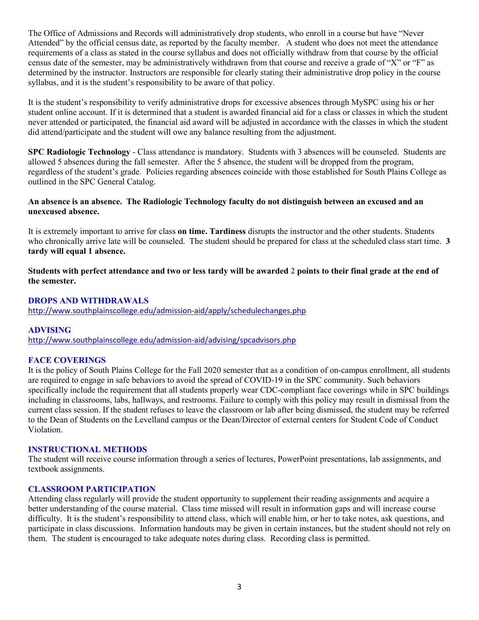The Office of Admissions and Records will administratively drop students, who enroll in a course but have "Never Attended" by the official census date, as reported by the faculty member. A student who does not meet the attendance requirements of a class as stated in the course syllabus and does not officially withdraw from that course by the official census date of the semester, may be administratively withdrawn from that course and receive a grade of "X" or "F" as determined by the instructor. Instructors are responsible for clearly stating their administrative drop policy in the course syllabus, and it is the student's responsibility to be aware of that policy.

It is the student's responsibility to verify administrative drops for excessive absences through MySPC using his or her student online account. If it is determined that a student is awarded financial aid for a class or classes in which the student never attended or participated, the financial aid award will be adjusted in accordance with the classes in which the student did attend/participate and the student will owe any balance resulting from the adjustment.

**SPC Radiologic Technology** - Class attendance is mandatory. Students with 3 absences will be counseled. Students are allowed 5 absences during the fall semester. After the 5 absence, the student will be dropped from the program, regardless of the student's grade. Policies regarding absences coincide with those established for South Plains College as outlined in the SPC General Catalog.

## **An absence is an absence. The Radiologic Technology faculty do not distinguish between an excused and an unexcused absence.**

It is extremely important to arrive for class **on time. Tardiness** disrupts the instructor and the other students. Students who chronically arrive late will be counseled. The student should be prepared for class at the scheduled class start time. **3 tardy will equal 1 absence.**

**Students with perfect attendance and two or less tardy will be awarded 2 points to their final grade at the end of the semester.**

## **DROPS AND WITHDRAWALS**

<http://www.southplainscollege.edu/admission-aid/apply/schedulechanges.php>

# **ADVISING**

<http://www.southplainscollege.edu/admission-aid/advising/spcadvisors.php>

### **FACE COVERINGS**

It is the policy of South Plains College for the Fall 2020 semester that as a condition of on-campus enrollment, all students are required to engage in safe behaviors to avoid the spread of COVID-19 in the SPC community. Such behaviors specifically include the requirement that all students properly wear CDC-compliant face coverings while in SPC buildings including in classrooms, labs, hallways, and restrooms. Failure to comply with this policy may result in dismissal from the current class session. If the student refuses to leave the classroom or lab after being dismissed, the student may be referred to the Dean of Students on the Levelland campus or the Dean/Director of external centers for Student Code of Conduct Violation.

### **INSTRUCTIONAL METHODS**

The student will receive course information through a series of lectures, PowerPoint presentations, lab assignments, and textbook assignments.

### **CLASSROOM PARTICIPATION**

Attending class regularly will provide the student opportunity to supplement their reading assignments and acquire a better understanding of the course material. Class time missed will result in information gaps and will increase course difficulty. It is the student's responsibility to attend class, which will enable him, or her to take notes, ask questions, and participate in class discussions. Information handouts may be given in certain instances, but the student should not rely on them. The student is encouraged to take adequate notes during class. Recording class is permitted.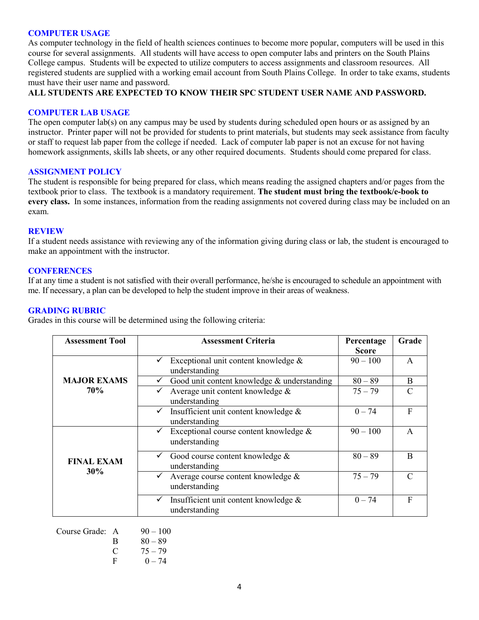#### **COMPUTER USAGE**

As computer technology in the field of health sciences continues to become more popular, computers will be used in this course for several assignments. All students will have access to open computer labs and printers on the South Plains College campus. Students will be expected to utilize computers to access assignments and classroom resources. All registered students are supplied with a working email account from South Plains College. In order to take exams, students must have their user name and password.

## **ALL STUDENTS ARE EXPECTED TO KNOW THEIR SPC STUDENT USER NAME AND PASSWORD.**

#### **COMPUTER LAB USAGE**

The open computer lab(s) on any campus may be used by students during scheduled open hours or as assigned by an instructor. Printer paper will not be provided for students to print materials, but students may seek assistance from faculty or staff to request lab paper from the college if needed. Lack of computer lab paper is not an excuse for not having homework assignments, skills lab sheets, or any other required documents. Students should come prepared for class.

#### **ASSIGNMENT POLICY**

The student is responsible for being prepared for class, which means reading the assigned chapters and/or pages from the textbook prior to class. The textbook is a mandatory requirement. **The student must bring the textbook/e-book to every class.** In some instances, information from the reading assignments not covered during class may be included on an exam.

#### **REVIEW**

If a student needs assistance with reviewing any of the information giving during class or lab, the student is encouraged to make an appointment with the instructor.

#### **CONFERENCES**

If at any time a student is not satisfied with their overall performance, he/she is encouraged to schedule an appointment with me. If necessary, a plan can be developed to help the student improve in their areas of weakness.

#### **GRADING RUBRIC**

Grades in this course will be determined using the following criteria:

| <b>Assessment Tool</b>           | <b>Assessment Criteria</b>                  | Percentage | Grade         |
|----------------------------------|---------------------------------------------|------------|---------------|
|                                  |                                             | Score      |               |
| <b>MAJOR EXAMS</b><br><b>70%</b> | Exceptional unit content knowledge $\&$     | $90 - 100$ | $\mathsf{A}$  |
|                                  | understanding                               |            |               |
|                                  | Good unit content knowledge & understanding | $80 - 89$  | B             |
|                                  | Average unit content knowledge &            | $75 - 79$  | $\mathcal{C}$ |
|                                  | understanding                               |            |               |
|                                  | Insufficient unit content knowledge &       | $0 - 74$   | F             |
|                                  | understanding                               |            |               |
| <b>FINAL EXAM</b><br>30%         | Exceptional course content knowledge &      | $90 - 100$ | $\mathsf{A}$  |
|                                  | understanding                               |            |               |
|                                  | Good course content knowledge &             | $80 - 89$  | B             |
|                                  | understanding                               |            |               |
|                                  | Average course content knowledge &          | $75 - 79$  | $\Gamma$      |
|                                  | understanding                               |            |               |
|                                  | Insufficient unit content knowledge &       | $0 - 74$   | F             |
|                                  | understanding                               |            |               |
|                                  |                                             |            |               |

| Course Grade: A |   | $90 - 100$ |
|-----------------|---|------------|
|                 | B | $80 - 89$  |
|                 | € | $75 - 79$  |
|                 | F | $0 - 74$   |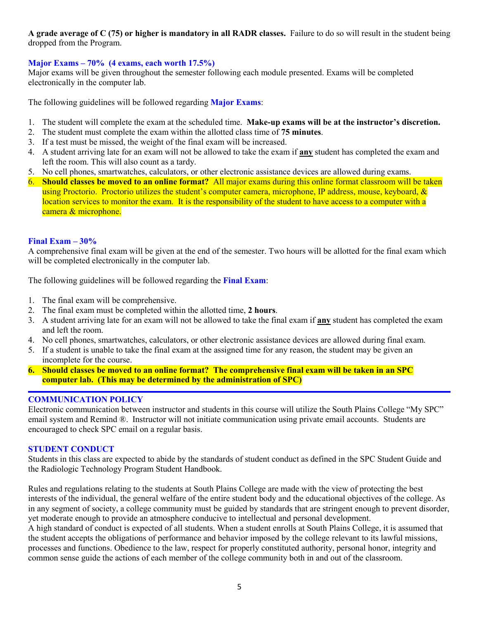# **A grade average of C (75) or higher is mandatory in all RADR classes.** Failure to do so will result in the student being dropped from the Program.

# **Major Exams – 70% (4 exams, each worth 17.5%)**

Major exams will be given throughout the semester following each module presented. Exams will be completed electronically in the computer lab.

The following guidelines will be followed regarding **Major Exams**:

- 1. The student will complete the exam at the scheduled time. **Make-up exams will be at the instructor's discretion.**
- 2. The student must complete the exam within the allotted class time of **75 minutes**.
- 3. If a test must be missed, the weight of the final exam will be increased.
- 4. A student arriving late for an exam will not be allowed to take the exam if **any** student has completed the exam and left the room. This will also count as a tardy.
- 5. No cell phones, smartwatches, calculators, or other electronic assistance devices are allowed during exams.
- 6. **Should classes be moved to an online format?** All major exams during this online format classroom will be taken using Proctorio. Proctorio utilizes the student's computer camera, microphone, IP address, mouse, keyboard, & location services to monitor the exam. It is the responsibility of the student to have access to a computer with a camera & microphone.

### **Final Exam – 30%**

A comprehensive final exam will be given at the end of the semester. Two hours will be allotted for the final exam which will be completed electronically in the computer lab.

The following guidelines will be followed regarding the **Final Exam**:

- 1. The final exam will be comprehensive.
- 2. The final exam must be completed within the allotted time, **2 hours**.
- 3. A student arriving late for an exam will not be allowed to take the final exam if **any** student has completed the exam and left the room.
- 4. No cell phones, smartwatches, calculators, or other electronic assistance devices are allowed during final exam.
- 5. If a student is unable to take the final exam at the assigned time for any reason, the student may be given an incomplete for the course.
- **6. Should classes be moved to an online format? The comprehensive final exam will be taken in an SPC computer lab. (This may be determined by the administration of SPC)**

# **COMMUNICATION POLICY**

Electronic communication between instructor and students in this course will utilize the South Plains College "My SPC" email system and Remind ®. Instructor will not initiate communication using private email accounts. Students are encouraged to check SPC email on a regular basis.

### **STUDENT CONDUCT**

Students in this class are expected to abide by the standards of student conduct as defined in the SPC Student Guide and the Radiologic Technology Program Student Handbook.

Rules and regulations relating to the students at South Plains College are made with the view of protecting the best interests of the individual, the general welfare of the entire student body and the educational objectives of the college. As in any segment of society, a college community must be guided by standards that are stringent enough to prevent disorder, yet moderate enough to provide an atmosphere conducive to intellectual and personal development.

A high standard of conduct is expected of all students. When a student enrolls at South Plains College, it is assumed that the student accepts the obligations of performance and behavior imposed by the college relevant to its lawful missions, processes and functions. Obedience to the law, respect for properly constituted authority, personal honor, integrity and common sense guide the actions of each member of the college community both in and out of the classroom.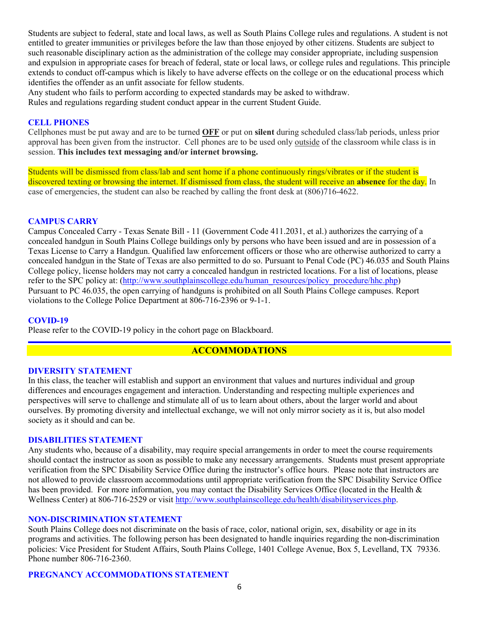Students are subject to federal, state and local laws, as well as South Plains College rules and regulations. A student is not entitled to greater immunities or privileges before the law than those enjoyed by other citizens. Students are subject to such reasonable disciplinary action as the administration of the college may consider appropriate, including suspension and expulsion in appropriate cases for breach of federal, state or local laws, or college rules and regulations. This principle extends to conduct off-campus which is likely to have adverse effects on the college or on the educational process which identifies the offender as an unfit associate for fellow students.

Any student who fails to perform according to expected standards may be asked to withdraw. Rules and regulations regarding student conduct appear in the current Student Guide.

### **CELL PHONES**

Cellphones must be put away and are to be turned **OFF** or put on **silent** during scheduled class/lab periods, unless prior approval has been given from the instructor. Cell phones are to be used only outside of the classroom while class is in session. **This includes text messaging and/or internet browsing.**

Students will be dismissed from class/lab and sent home if a phone continuously rings/vibrates or if the student is discovered texting or browsing the internet. If dismissed from class, the student will receive an **absence** for the day. In case of emergencies, the student can also be reached by calling the front desk at (806)716-4622.

### **CAMPUS CARRY**

Campus Concealed Carry - Texas Senate Bill - 11 (Government Code 411.2031, et al.) authorizes the carrying of a concealed handgun in South Plains College buildings only by persons who have been issued and are in possession of a Texas License to Carry a Handgun. Qualified law enforcement officers or those who are otherwise authorized to carry a concealed handgun in the State of Texas are also permitted to do so. Pursuant to Penal Code (PC) 46.035 and South Plains College policy, license holders may not carry a concealed handgun in restricted locations. For a list of locations, please refer to the SPC policy at: [\(http://www.southplainscollege.edu/human\\_resources/policy\\_procedure/hhc.php\)](http://www.southplainscollege.edu/human_resources/policy_procedure/hhc.php) Pursuant to PC 46.035, the open carrying of handguns is prohibited on all South Plains College campuses. Report violations to the College Police Department at 806-716-2396 or 9-1-1.

### **COVID-19**

Please refer to the COVID-19 policy in the cohort page on Blackboard.

# **ACCOMMODATIONS**

#### **DIVERSITY STATEMENT**

In this class, the teacher will establish and support an environment that values and nurtures individual and group differences and encourages engagement and interaction. Understanding and respecting multiple experiences and perspectives will serve to challenge and stimulate all of us to learn about others, about the larger world and about ourselves. By promoting diversity and intellectual exchange, we will not only mirror society as it is, but also model society as it should and can be.

#### **DISABILITIES STATEMENT**

Any students who, because of a disability, may require special arrangements in order to meet the course requirements should contact the instructor as soon as possible to make any necessary arrangements. Students must present appropriate verification from the SPC Disability Service Office during the instructor's office hours. Please note that instructors are not allowed to provide classroom accommodations until appropriate verification from the SPC Disability Service Office has been provided. For more information, you may contact the Disability Services Office (located in the Health & Wellness Center) at 806-716-2529 or visit [http://www.southplainscollege.edu/health/disabilityservices.php.](http://www.southplainscollege.edu/health/disabilityservices.php)

#### **NON-DISCRIMINATION STATEMENT**

South Plains College does not discriminate on the basis of race, color, national origin, sex, disability or age in its programs and activities. The following person has been designated to handle inquiries regarding the non-discrimination policies: Vice President for Student Affairs, South Plains College, 1401 College Avenue, Box 5, Levelland, TX 79336. Phone number 806-716-2360.

### **PREGNANCY ACCOMMODATIONS STATEMENT**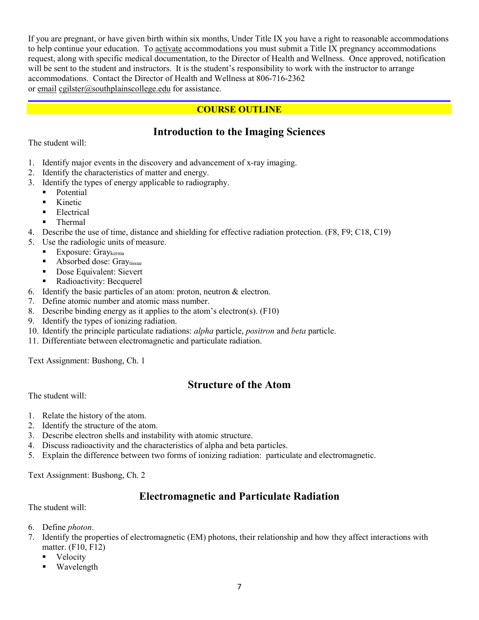If you are pregnant, or have given birth within six months, Under Title IX you have a right to reasonable accommodations to help continue your education. To [activate](http://www.southplainscollege.edu/employees/manualshandbooks/facultyhandbook/sec4.php) accommodations you must submit a Title IX pregnancy accommodations request, along with specific medical documentation, to the Director of Health and Wellness. Once approved, notification will be sent to the student and instructors. It is the student's responsibility to work with the instructor to arrange accommodations. Contact the Director of Health and Wellness at 806-716-2362 or [email](http://www.southplainscollege.edu/employees/manualshandbooks/facultyhandbook/sec4.php) [cgilster@southplainscollege.edu](mailto:cgilster@southplainscollege.edu) for assistance.

# **COURSE OUTLINE**

# **Introduction to the Imaging Sciences**

The student will:

- 1. Identify major events in the discovery and advancement of x-ray imaging.
- 2. Identify the characteristics of matter and energy.
- 3. Identify the types of energy applicable to radiography.
	- **Potential**
	- Kinetic
	- **Electrical**
	- Thermal
- 4. Describe the use of time, distance and shielding for effective radiation protection. (F8, F9; C18, C19)
- 5. Use the radiologic units of measure.
	- Exposure:  $Gray$ <sub>kerma</sub>
	- **Absorbed dose: Gray**tissue
	- Dose Equivalent: Sievert
	- Radioactivity: Becquerel
- 6. Identify the basic particles of an atom: proton, neutron & electron.
- 7. Define atomic number and atomic mass number.
- 8. Describe binding energy as it applies to the atom's electron(s). (F10)
- 9. Identify the types of ionizing radiation.
- 10. Identify the principle particulate radiations: *alpha* particle, *positron* and *beta* particle.
- 11. Differentiate between electromagnetic and particulate radiation.

Text Assignment: Bushong, Ch. 1

# **Structure of the Atom**

The student will:

- 1. Relate the history of the atom.
- 2. Identify the structure of the atom.
- 3. Describe electron shells and instability with atomic structure.
- 4. Discuss radioactivity and the characteristics of alpha and beta particles.
- 5. Explain the difference between two forms of ionizing radiation: particulate and electromagnetic.

Text Assignment: Bushong, Ch. 2

# **Electromagnetic and Particulate Radiation**

The student will:

- 6. Define *photon*.
- 7. Identify the properties of electromagnetic (EM) photons, their relationship and how they affect interactions with matter. (F10, F12)
	- Velocity
	- Wavelength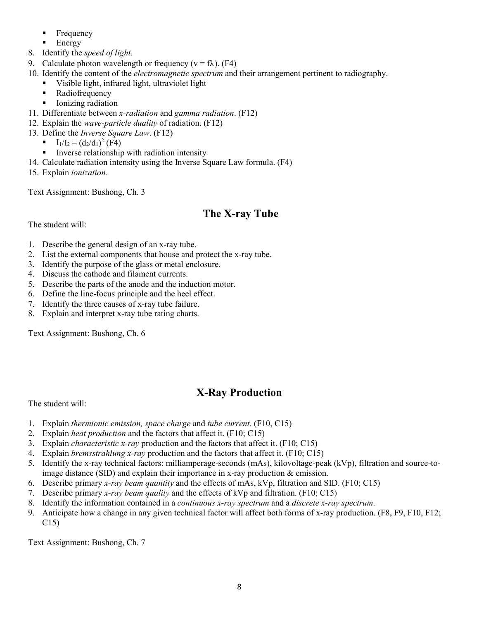- **Frequency**
- $\blacksquare$  Energy
- 8. Identify the *speed of light*.
- 9. Calculate photon wavelength or frequency ( $v = f\lambda$ ). (F4)
- 10. Identify the content of the *electromagnetic spectrum* and their arrangement pertinent to radiography.
	- Visible light, infrared light, ultraviolet light
	- Radiofrequency
	- **I** Ionizing radiation
- 11. Differentiate between *x-radiation* and *gamma radiation*. (F12)
- 12. Explain the *wave-particle duality* of radiation. (F12)
- 13. Define the *Inverse Square Law*. (F12)
	- $I_1/I_2 = (d_2/d_1)^2$  (F4)
	- Inverse relationship with radiation intensity
- 14. Calculate radiation intensity using the Inverse Square Law formula. (F4)
- 15. Explain *ionization*.

Text Assignment: Bushong, Ch. 3

# **The X-ray Tube**

The student will:

- 1. Describe the general design of an x-ray tube.
- 2. List the external components that house and protect the x-ray tube.
- 3. Identify the purpose of the glass or metal enclosure.
- 4. Discuss the cathode and filament currents.
- 5. Describe the parts of the anode and the induction motor.
- 6. Define the line-focus principle and the heel effect.
- 7. Identify the three causes of x-ray tube failure.
- 8. Explain and interpret x-ray tube rating charts.

Text Assignment: Bushong, Ch. 6

# **X-Ray Production**

The student will:

- 1. Explain *thermionic emission, space charge* and *tube current*. (F10, C15)
- 2. Explain *heat production* and the factors that affect it. (F10; C15)
- 3. Explain *characteristic x-ray* production and the factors that affect it. (F10; C15)
- 4. Explain *bremsstrahlung x-ray* production and the factors that affect it. (F10; C15)
- 5. Identify the x-ray technical factors: milliamperage-seconds (mAs), kilovoltage-peak (kVp), filtration and source-toimage distance (SID) and explain their importance in x-ray production & emission.
- 6. Describe primary *x-ray beam quantity* and the effects of mAs, kVp, filtration and SID. (F10; C15)
- 7. Describe primary *x-ray beam quality* and the effects of kVp and filtration. (F10; C15)
- 8. Identify the information contained in a *continuous x-ray spectrum* and a *discrete x-ray spectrum*.
- 9. Anticipate how a change in any given technical factor will affect both forms of x-ray production. (F8, F9, F10, F12; C15)

Text Assignment: Bushong, Ch. 7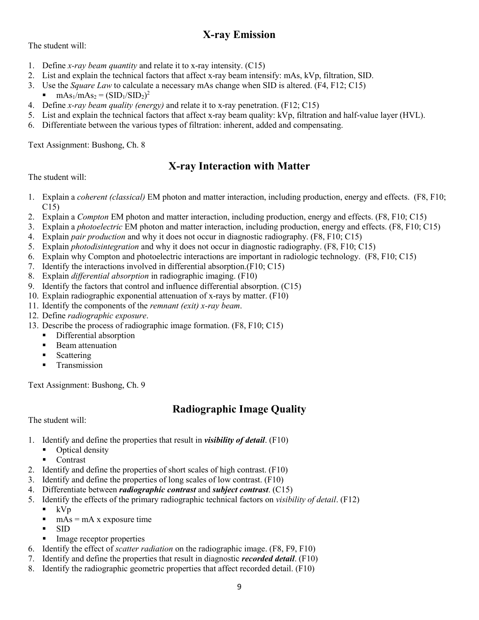# **X-ray Emission**

The student will:

- 1. Define *x-ray beam quantity* and relate it to x-ray intensity. (C15)
- 2. List and explain the technical factors that affect x-ray beam intensify: mAs, kVp, filtration, SID.
- 3. Use the *Square Law* to calculate a necessary mAs change when SID is altered. (F4, F12; C15)
- $\blacksquare$  mAs<sub>1</sub>/mAs<sub>2</sub> = (SID<sub>1</sub>/SID<sub>2</sub>)<sup>2</sup>
- 4. Define *x-ray beam quality (energy)* and relate it to x-ray penetration. (F12; C15)
- 5. List and explain the technical factors that affect x-ray beam quality: kVp, filtration and half-value layer (HVL).
- 6. Differentiate between the various types of filtration: inherent, added and compensating.

Text Assignment: Bushong, Ch. 8

# **X-ray Interaction with Matter**

The student will:

- 1. Explain a *coherent (classical)* EM photon and matter interaction, including production, energy and effects. (F8, F10; C15)
- 2. Explain a *Compton* EM photon and matter interaction, including production, energy and effects. (F8, F10; C15)
- 3. Explain a *photoelectric* EM photon and matter interaction, including production, energy and effects. (F8, F10; C15)
- 4. Explain *pair production* and why it does not occur in diagnostic radiography. (F8, F10; C15)
- 5. Explain *photodisintegration* and why it does not occur in diagnostic radiography. (F8, F10; C15)
- 6. Explain why Compton and photoelectric interactions are important in radiologic technology. (F8, F10; C15)
- 7. Identify the interactions involved in differential absorption.(F10; C15)
- 8. Explain *differential absorption* in radiographic imaging. (F10)
- 9. Identify the factors that control and influence differential absorption. (C15)
- 10. Explain radiographic exponential attenuation of x-rays by matter. (F10)
- 11. Identify the components of the *remnant (exit) x-ray beam*.
- 12. Define *radiographic exposure*.
- 13. Describe the process of radiographic image formation. (F8, F10; C15)
	- Differential absorption
	- **Beam attenuation**
	- **Scattering**
	- **Transmission**

Text Assignment: Bushong, Ch. 9

# **Radiographic Image Quality**

The student will:

- 1. Identify and define the properties that result in *visibility of detail*. (F10)
	- Optical density
	- Contrast
- 2. Identify and define the properties of short scales of high contrast. (F10)
- 3. Identify and define the properties of long scales of low contrast. (F10)
- 4. Differentiate between *radiographic contrast* and *subject contrast*. (C15)
- 5. Identify the effects of the primary radiographic technical factors on *visibility of detail*. (F12)
	- $\blacksquare$  kVp
	- $mAs = mA x$  exposure time
	- SID
	- Image receptor properties
- 6. Identify the effect of *scatter radiation* on the radiographic image. (F8, F9, F10)
- 7. Identify and define the properties that result in diagnostic *recorded detail*. (F10)
- 8. Identify the radiographic geometric properties that affect recorded detail. (F10)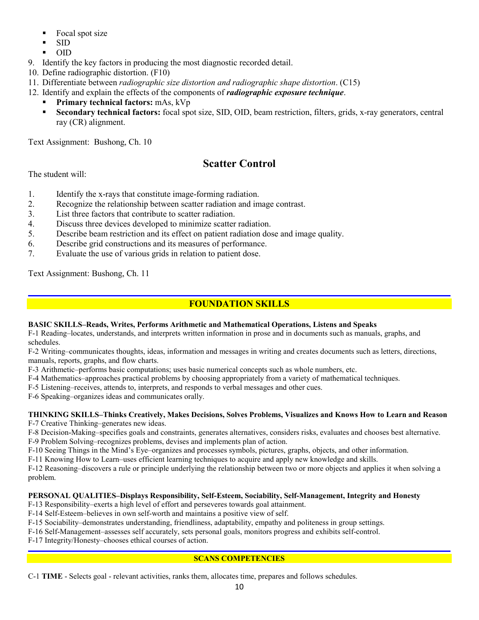- $\blacksquare$  Focal spot size
- SID
- OID
- 9. Identify the key factors in producing the most diagnostic recorded detail.
- 10. Define radiographic distortion. (F10)
- 11. Differentiate between *radiographic size distortion and radiographic shape distortion*. (C15)
- 12. Identify and explain the effects of the components of *radiographic exposure technique*.
	- **Primary technical factors:** mAs, kVp
	- **Secondary technical factors:** focal spot size, SID, OID, beam restriction, filters, grids, x-ray generators, central ray (CR) alignment.

Text Assignment: Bushong, Ch. 10

# **Scatter Control**

The student will:

- 1. Identify the x-rays that constitute image-forming radiation.
- 2. Recognize the relationship between scatter radiation and image contrast.
- 3. List three factors that contribute to scatter radiation.
- 4. Discuss three devices developed to minimize scatter radiation.
- 5. Describe beam restriction and its effect on patient radiation dose and image quality.
- 6. Describe grid constructions and its measures of performance.
- 7. Evaluate the use of various grids in relation to patient dose.

Text Assignment: Bushong, Ch. 11

# **FOUNDATION SKILLS**

### **BASIC SKILLS–Reads, Writes, Performs Arithmetic and Mathematical Operations, Listens and Speaks**

F-1 Reading–locates, understands, and interprets written information in prose and in documents such as manuals, graphs, and schedules.

F-2 Writing–communicates thoughts, ideas, information and messages in writing and creates documents such as letters, directions, manuals, reports, graphs, and flow charts.

F-3 Arithmetic–performs basic computations; uses basic numerical concepts such as whole numbers, etc.

F-4 Mathematics–approaches practical problems by choosing appropriately from a variety of mathematical techniques.

F-5 Listening–receives, attends to, interprets, and responds to verbal messages and other cues.

F-6 Speaking–organizes ideas and communicates orally.

#### **THINKING SKILLS–Thinks Creatively, Makes Decisions, Solves Problems, Visualizes and Knows How to Learn and Reason** F-7 Creative Thinking–generates new ideas.

F-8 Decision-Making–specifies goals and constraints, generates alternatives, considers risks, evaluates and chooses best alternative. F-9 Problem Solving–recognizes problems, devises and implements plan of action.

F-10 Seeing Things in the Mind's Eye–organizes and processes symbols, pictures, graphs, objects, and other information.

F-11 Knowing How to Learn–uses efficient learning techniques to acquire and apply new knowledge and skills.

F-12 Reasoning–discovers a rule or principle underlying the relationship between two or more objects and applies it when solving a problem.

### **PERSONAL QUALITIES–Displays Responsibility, Self-Esteem, Sociability, Self-Management, Integrity and Honesty**

- F-13 Responsibility–exerts a high level of effort and perseveres towards goal attainment.
- F-14 Self-Esteem–believes in own self-worth and maintains a positive view of self.

F-15 Sociability–demonstrates understanding, friendliness, adaptability, empathy and politeness in group settings.

F-16 Self-Management–assesses self accurately, sets personal goals, monitors progress and exhibits self-control.

F-17 Integrity/Honesty–chooses ethical courses of action.

# **SCANS COMPETENCIES**

C-1 **TIME** - Selects goal - relevant activities, ranks them, allocates time, prepares and follows schedules.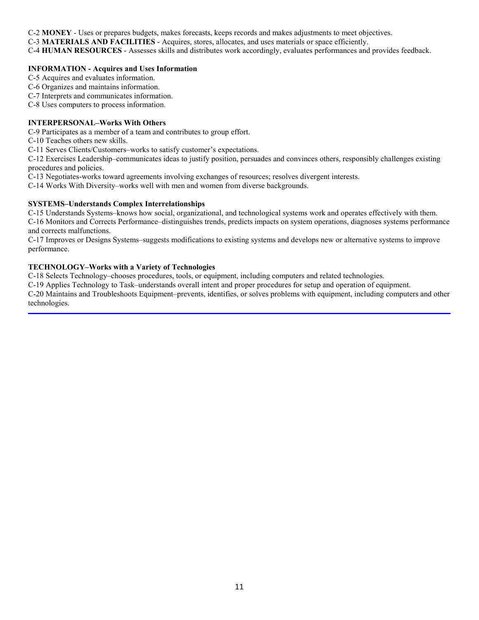C-2 **MONEY** - Uses or prepares budgets, makes forecasts, keeps records and makes adjustments to meet objectives.

C-3 **MATERIALS AND FACILITIES** - Acquires, stores, allocates, and uses materials or space efficiently.

C-4 **HUMAN RESOURCES** - Assesses skills and distributes work accordingly, evaluates performances and provides feedback.

#### **INFORMATION - Acquires and Uses Information**

C-5 Acquires and evaluates information.

C-6 Organizes and maintains information.

C-7 Interprets and communicates information.

C-8 Uses computers to process information.

#### **INTERPERSONAL–Works With Others**

C-9 Participates as a member of a team and contributes to group effort.

C-10 Teaches others new skills.

C-11 Serves Clients/Customers–works to satisfy customer's expectations.

C-12 Exercises Leadership–communicates ideas to justify position, persuades and convinces others, responsibly challenges existing procedures and policies.

C-13 Negotiates-works toward agreements involving exchanges of resources; resolves divergent interests.

C-14 Works With Diversity–works well with men and women from diverse backgrounds.

#### **SYSTEMS–Understands Complex Interrelationships**

C-15 Understands Systems–knows how social, organizational, and technological systems work and operates effectively with them. C-16 Monitors and Corrects Performance–distinguishes trends, predicts impacts on system operations, diagnoses systems performance and corrects malfunctions.

C-17 Improves or Designs Systems–suggests modifications to existing systems and develops new or alternative systems to improve performance.

#### **TECHNOLOGY–Works with a Variety of Technologies**

C-18 Selects Technology–chooses procedures, tools, or equipment, including computers and related technologies.

C-19 Applies Technology to Task–understands overall intent and proper procedures for setup and operation of equipment.

C-20 Maintains and Troubleshoots Equipment–prevents, identifies, or solves problems with equipment, including computers and other technologies.